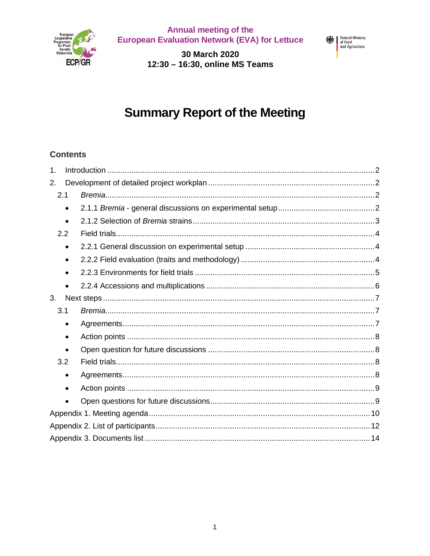

**Annual meeting of the<br>European Evaluation Network (EVA) for Lettuce** 

30 March 2020 12:30 - 16:30, online MS Teams



# **Summary Report of the Meeting**

## **Contents**

| $\mathbf 1$ . |  |
|---------------|--|
| 2.            |  |
| 2.1           |  |
| $\bullet$     |  |
| $\bullet$     |  |
| 2.2           |  |
| $\bullet$     |  |
|               |  |
|               |  |
|               |  |
| 3.            |  |
| 3.1           |  |
| $\bullet$     |  |
| $\bullet$     |  |
| $\bullet$     |  |
| 3.2           |  |
| ٠             |  |
| ٠             |  |
|               |  |
|               |  |
|               |  |
|               |  |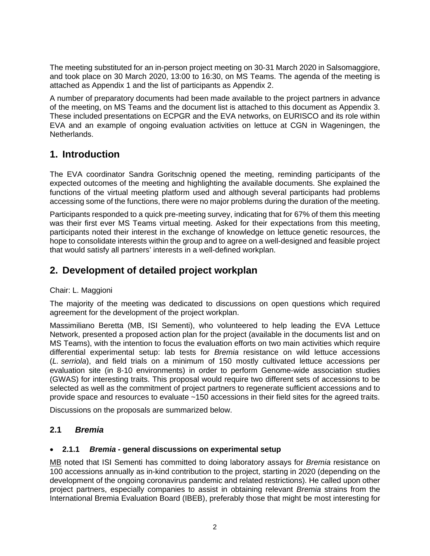The meeting substituted for an in-person project meeting on 30-31 March 2020 in Salsomaggiore, and took place on 30 March 2020, 13:00 to 16:30, on MS Teams. The agenda of the meeting is attached as Appendix 1 and the list of participants as Appendix 2.

A number of preparatory documents had been made available to the project partners in advance of the meeting, on MS Teams and the document list is attached to this document as Appendix 3. These included presentations on ECPGR and the EVA networks, on EURISCO and its role within EVA and an example of ongoing evaluation activities on lettuce at CGN in Wageningen, the **Netherlands** 

## **1. Introduction**

The EVA coordinator Sandra Goritschnig opened the meeting, reminding participants of the expected outcomes of the meeting and highlighting the available documents. She explained the functions of the virtual meeting platform used and although several participants had problems accessing some of the functions, there were no major problems during the duration of the meeting.

Participants responded to a quick pre-meeting survey, indicating that for 67% of them this meeting was their first ever MS Teams virtual meeting. Asked for their expectations from this meeting, participants noted their interest in the exchange of knowledge on lettuce genetic resources, the hope to consolidate interests within the group and to agree on a well-designed and feasible project that would satisfy all partners' interests in a well-defined workplan.

## **2. Development of detailed project workplan**

#### Chair: L. Maggioni

The majority of the meeting was dedicated to discussions on open questions which required agreement for the development of the project workplan.

Massimiliano Beretta (MB, ISI Sementi), who volunteered to help leading the EVA Lettuce Network, presented a proposed action plan for the project (available in the documents list and on MS Teams), with the intention to focus the evaluation efforts on two main activities which require differential experimental setup: lab tests for Bremia resistance on wild lettuce accessions (L. serriola), and field trials on a minimum of 150 mostly cultivated lettuce accessions per evaluation site (in 8-10 environments) in order to perform Genome-wide association studies (GWAS) for interesting traits. This proposal would require two different sets of accessions to be selected as well as the commitment of project partners to regenerate sufficient accessions and to provide space and resources to evaluate ~150 accessions in their field sites for the agreed traits.

Discussions on the proposals are summarized below.

#### **2.1 Bremia**

#### · **2.1.1 Bremia - general discussions on experimental setup**

MB noted that ISI Sementi has committed to doing laboratory assays for Bremia resistance on 100 accessions annually as in-kind contribution to the project, starting in 2020 (depending on the development of the ongoing coronavirus pandemic and related restrictions). He called upon other project partners, especially companies to assist in obtaining relevant Bremia strains from the International Bremia Evaluation Board (IBEB), preferably those that might be most interesting for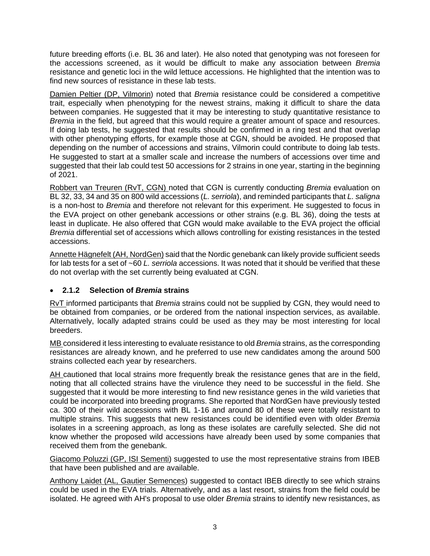future breeding efforts (i.e. BL 36 and later). He also noted that genotyping was not foreseen for the accessions screened, as it would be difficult to make any association between Bremia resistance and genetic loci in the wild lettuce accessions. He highlighted that the intention was to find new sources of resistance in these lab tests.

Damien Peltier (DP, Vilmorin) noted that Bremia resistance could be considered a competitive trait, especially when phenotyping for the newest strains, making it difficult to share the data between companies. He suggested that it may be interesting to study quantitative resistance to Bremia in the field, but agreed that this would require a greater amount of space and resources. If doing lab tests, he suggested that results should be confirmed in a ring test and that overlap with other phenotyping efforts, for example those at CGN, should be avoided. He proposed that depending on the number of accessions and strains, Vilmorin could contribute to doing lab tests. He suggested to start at a smaller scale and increase the numbers of accessions over time and suggested that their lab could test 50 accessions for 2 strains in one year, starting in the beginning of 2021.

Robbert van Treuren (RvT, CGN) noted that CGN is currently conducting Bremia evaluation on BL 32, 33, 34 and 35 on 800 wild accessions (L. serriola), and reminded participants that L. saligna is a non-host to Bremia and therefore not relevant for this experiment. He suggested to focus in the EVA project on other genebank accessions or other strains (e.g. BL 36), doing the tests at least in duplicate. He also offered that CGN would make available to the EVA project the official Bremia differential set of accessions which allows controlling for existing resistances in the tested accessions.

Annette Hägnefelt (AH, NordGen) said that the Nordic genebank can likely provide sufficient seeds for lab tests for a set of ~60 L. serriola accessions. It was noted that it should be verified that these do not overlap with the set currently being evaluated at CGN.

#### · **2.1.2 Selection of Bremia strains**

RvT informed participants that Bremia strains could not be supplied by CGN, they would need to be obtained from companies, or be ordered from the national inspection services, as available. Alternatively, locally adapted strains could be used as they may be most interesting for local breeders.

MB considered it less interesting to evaluate resistance to old Bremia strains, as the corresponding resistances are already known, and he preferred to use new candidates among the around 500 strains collected each year by researchers.

AH cautioned that local strains more frequently break the resistance genes that are in the field, noting that all collected strains have the virulence they need to be successful in the field. She suggested that it would be more interesting to find new resistance genes in the wild varieties that could be incorporated into breeding programs. She reported that NordGen have previously tested ca. 300 of their wild accessions with BL 1-16 and around 80 of these were totally resistant to multiple strains. This suggests that new resistances could be identified even with older Bremia isolates in a screening approach, as long as these isolates are carefully selected. She did not know whether the proposed wild accessions have already been used by some companies that received them from the genebank.

Giacomo Poluzzi (GP, ISI Sementi) suggested to use the most representative strains from IBEB that have been published and are available.

Anthony Laidet (AL, Gautier Semences) suggested to contact IBEB directly to see which strains could be used in the EVA trials. Alternatively, and as a last resort, strains from the field could be isolated. He agreed with AH's proposal to use older Bremia strains to identify new resistances, as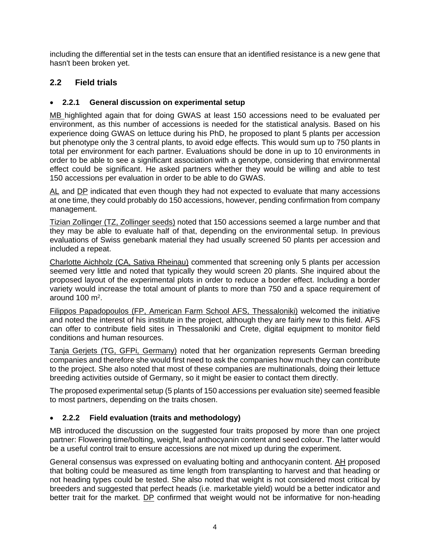including the differential set in the tests can ensure that an identified resistance is a new gene that hasn't been broken yet.

## **2.2 Field trials**

#### · **2.2.1 General discussion on experimental setup**

MB highlighted again that for doing GWAS at least 150 accessions need to be evaluated per environment, as this number of accessions is needed for the statistical analysis. Based on his experience doing GWAS on lettuce during his PhD, he proposed to plant 5 plants per accession but phenotype only the 3 central plants, to avoid edge effects. This would sum up to 750 plants in total per environment for each partner. Evaluations should be done in up to 10 environments in order to be able to see a significant association with a genotype, considering that environmental effect could be significant. He asked partners whether they would be willing and able to test 150 accessions per evaluation in order to be able to do GWAS.

AL and DP indicated that even though they had not expected to evaluate that many accessions at one time, they could probably do 150 accessions, however, pending confirmation from company management.

Tizian Zollinger (TZ, Zollinger seeds) noted that 150 accessions seemed a large number and that they may be able to evaluate half of that, depending on the environmental setup. In previous evaluations of Swiss genebank material they had usually screened 50 plants per accession and included a repeat.

Charlotte Aichholz (CA, Sativa Rheinau) commented that screening only 5 plants per accession seemed very little and noted that typically they would screen 20 plants. She inquired about the proposed layout of the experimental plots in order to reduce a border effect. Including a border variety would increase the total amount of plants to more than 750 and a space requirement of around  $100 \text{ m}^2$ .

Filippos Papadopoulos (FP, American Farm School AFS, Thessaloniki) welcomed the initiative and noted the interest of his institute in the project, although they are fairly new to this field. AFS can offer to contribute field sites in Thessaloniki and Crete, digital equipment to monitor field conditions and human resources.

Tanja Gerjets (TG, GFPi, Germany) noted that her organization represents German breeding companies and therefore she would first need to ask the companies how much they can contribute to the project. She also noted that most of these companies are multinationals, doing their lettuce breeding activities outside of Germany, so it might be easier to contact them directly.

The proposed experimental setup (5 plants of 150 accessions per evaluation site) seemed feasible to most partners, depending on the traits chosen.

#### · **2.2.2 Field evaluation (traits and methodology)**

MB introduced the discussion on the suggested four traits proposed by more than one project partner: Flowering time/bolting, weight, leaf anthocyanin content and seed colour. The latter would be a useful control trait to ensure accessions are not mixed up during the experiment.

General consensus was expressed on evaluating bolting and anthocyanin content. AH proposed that bolting could be measured as time length from transplanting to harvest and that heading or not heading types could be tested. She also noted that weight is not considered most critical by breeders and suggested that perfect heads (i.e. marketable yield) would be a better indicator and better trait for the market. DP confirmed that weight would not be informative for non-heading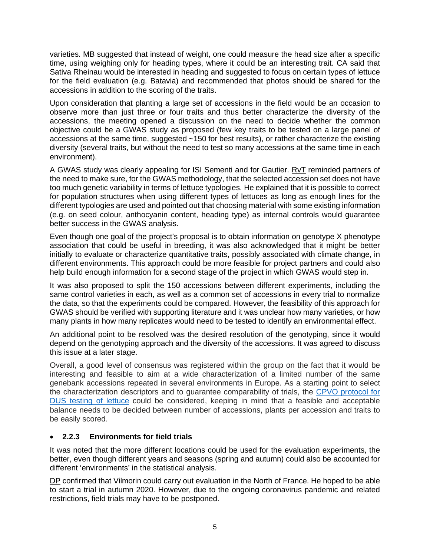varieties. MB suggested that instead of weight, one could measure the head size after a specific time, using weighing only for heading types, where it could be an interesting trait. CA said that Sativa Rheinau would be interested in heading and suggested to focus on certain types of lettuce for the field evaluation (e.g. Batavia) and recommended that photos should be shared for the accessions in addition to the scoring of the traits.

Upon consideration that planting a large set of accessions in the field would be an occasion to observe more than just three or four traits and thus better characterize the diversity of the accessions, the meeting opened a discussion on the need to decide whether the common objective could be a GWAS study as proposed (few key traits to be tested on a large panel of accessions at the same time, suggested ~150 for best results), or rather characterize the existing diversity (several traits, but without the need to test so many accessions at the same time in each environment).

A GWAS study was clearly appealing for ISI Sementi and for Gautier. RvT reminded partners of the need to make sure, for the GWAS methodology, that the selected accession set does not have too much genetic variability in terms of lettuce typologies. He explained that it is possible to correct for population structures when using different types of lettuces as long as enough lines for the different typologies are used and pointed out that choosing material with some existing information (e.g. on seed colour, anthocyanin content, heading type) as internal controls would guarantee better success in the GWAS analysis.

Even though one goal of the project's proposal is to obtain information on genotype X phenotype association that could be useful in breeding, it was also acknowledged that it might be better initially to evaluate or characterize quantitative traits, possibly associated with climate change, in different environments. This approach could be more feasible for project partners and could also help build enough information for a second stage of the project in which GWAS would step in.

It was also proposed to split the 150 accessions between different experiments, including the same control varieties in each, as well as a common set of accessions in every trial to normalize the data, so that the experiments could be compared. However, the feasibility of this approach for GWAS should be verified with supporting literature and it was unclear how many varieties, or how many plants in how many replicates would need to be tested to identify an environmental effect.

An additional point to be resolved was the desired resolution of the genotyping, since it would depend on the genotyping approach and the diversity of the accessions. It was agreed to discuss this issue at a later stage.

Overall, a good level of consensus was registered within the group on the fact that it would be interesting and feasible to aim at a wide characterization of a limited number of the same genebank accessions repeated in several environments in Europe. As a starting point to select the characterization descriptors and to guarantee comparability of trials, the CPVO [protocol for](https://cpvo.europa.eu/en/applications-and-examinations/technical-examinations/technical-protocols/cpvo-technical-protocols) [DUS testing of lettuce](https://cpvo.europa.eu/en/applications-and-examinations/technical-examinations/technical-protocols/cpvo-technical-protocols) could be considered, keeping in mind that a feasible and acceptable balance needs to be decided between number of accessions, plants per accession and traits to be easily scored.

#### · **2.2.3 Environments for field trials**

It was noted that the more different locations could be used for the evaluation experiments, the better, even though different years and seasons (spring and autumn) could also be accounted for different 'environments' in the statistical analysis.

DP confirmed that Vilmorin could carry out evaluation in the North of France. He hoped to be able to start a trial in autumn 2020. However, due to the ongoing coronavirus pandemic and related restrictions, field trials may have to be postponed.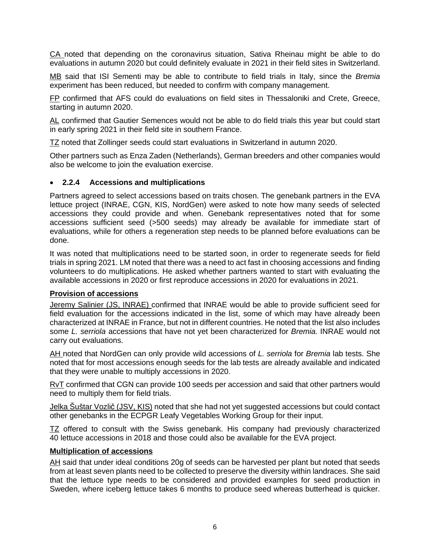CA noted that depending on the coronavirus situation, Sativa Rheinau might be able to do evaluations in autumn 2020 but could definitely evaluate in 2021 in their field sites in Switzerland.

MB said that ISI Sementi may be able to contribute to field trials in Italy, since the Bremia experiment has been reduced, but needed to confirm with company management.

FP confirmed that AFS could do evaluations on field sites in Thessaloniki and Crete, Greece, starting in autumn 2020.

AL confirmed that Gautier Semences would not be able to do field trials this year but could start in early spring 2021 in their field site in southern France.

TZ noted that Zollinger seeds could start evaluations in Switzerland in autumn 2020.

Other partners such as Enza Zaden (Netherlands), German breeders and other companies would also be welcome to join the evaluation exercise.

#### · **2.2.4 Accessions and multiplications**

Partners agreed to select accessions based on traits chosen. The genebank partners in the EVA lettuce project (INRAE, CGN, KIS, NordGen) were asked to note how many seeds of selected accessions they could provide and when. Genebank representatives noted that for some accessions sufficient seed (>500 seeds) may already be available for immediate start of evaluations, while for others a regeneration step needs to be planned before evaluations can be done.

It was noted that multiplications need to be started soon, in order to regenerate seeds for field trials in spring 2021. LM noted that there was a need to act fast in choosing accessions and finding volunteers to do multiplications. He asked whether partners wanted to start with evaluating the available accessions in 2020 or first reproduce accessions in 2020 for evaluations in 2021.

#### **Provision of accessions**

Jeremy Salinier (JS, INRAE) confirmed that INRAE would be able to provide sufficient seed for field evaluation for the accessions indicated in the list, some of which may have already been characterized at INRAE in France, but not in different countries. He noted that the list also includes some L. serriola accessions that have not yet been characterized for Bremia. INRAE would not carry out evaluations.

AH noted that NordGen can only provide wild accessions of L. serriola for Bremia lab tests. She noted that for most accessions enough seeds for the lab tests are already available and indicated that they were unable to multiply accessions in 2020.

RvT confirmed that CGN can provide 100 seeds per accession and said that other partners would need to multiply them for field trials.

Jelka Šuštar Vozlič (JSV, KIS) noted that she had not yet suggested accessions but could contact other genebanks in the ECPGR Leafy Vegetables Working Group for their input.

TZ offered to consult with the Swiss genebank. His company had previously characterized 40 lettuce accessions in 2018 and those could also be available for the EVA project.

#### **Multiplication of accessions**

AH said that under ideal conditions 20g of seeds can be harvested per plant but noted that seeds from at least seven plants need to be collected to preserve the diversity within landraces. She said that the lettuce type needs to be considered and provided examples for seed production in Sweden, where iceberg lettuce takes 6 months to produce seed whereas butterhead is quicker.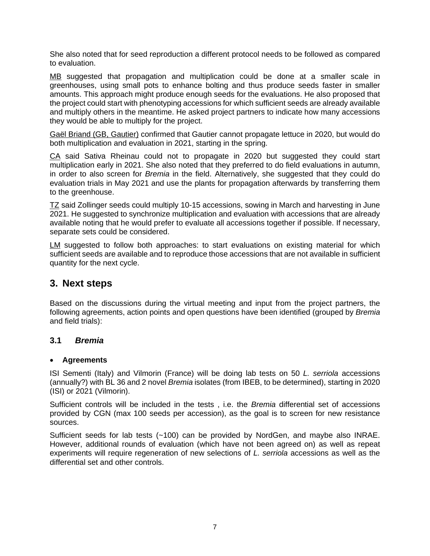She also noted that for seed reproduction a different protocol needs to be followed as compared to evaluation.

MB suggested that propagation and multiplication could be done at a smaller scale in greenhouses, using small pots to enhance bolting and thus produce seeds faster in smaller amounts. This approach might produce enough seeds for the evaluations. He also proposed that the project could start with phenotyping accessions for which sufficient seeds are already available and multiply others in the meantime. He asked project partners to indicate how many accessions they would be able to multiply for the project.

Gaël Briand (GB, Gautier) confirmed that Gautier cannot propagate lettuce in 2020, but would do both multiplication and evaluation in 2021, starting in the spring.

CA said Sativa Rheinau could not to propagate in 2020 but suggested they could start multiplication early in 2021. She also noted that they preferred to do field evaluations in autumn, in order to also screen for Bremia in the field. Alternatively, she suggested that they could do evaluation trials in May 2021 and use the plants for propagation afterwards by transferring them to the greenhouse.

TZ said Zollinger seeds could multiply 10-15 accessions, sowing in March and harvesting in June 2021. He suggested to synchronize multiplication and evaluation with accessions that are already available noting that he would prefer to evaluate all accessions together if possible. If necessary, separate sets could be considered.

LM suggested to follow both approaches: to start evaluations on existing material for which sufficient seeds are available and to reproduce those accessions that are not available in sufficient quantity for the next cycle.

## **3. Next steps**

Based on the discussions during the virtual meeting and input from the project partners, the following agreements, action points and open questions have been identified (grouped by Bremia and field trials):

#### **3.1 Bremia**

#### · **Agreements**

ISI Sementi (Italy) and Vilmorin (France) will be doing lab tests on 50 L. serriola accessions (annually?) with BL 36 and 2 novel Bremia isolates (from IBEB, to be determined), starting in 2020 (ISI) or 2021 (Vilmorin).

Sufficient controls will be included in the tests, i.e. the Bremia differential set of accessions provided by CGN (max 100 seeds per accession), as the goal is to screen for new resistance sources.

Sufficient seeds for lab tests (~100) can be provided by NordGen, and maybe also INRAE. However, additional rounds of evaluation (which have not been agreed on) as well as repeat experiments will require regeneration of new selections of L. serriola accessions as well as the differential set and other controls.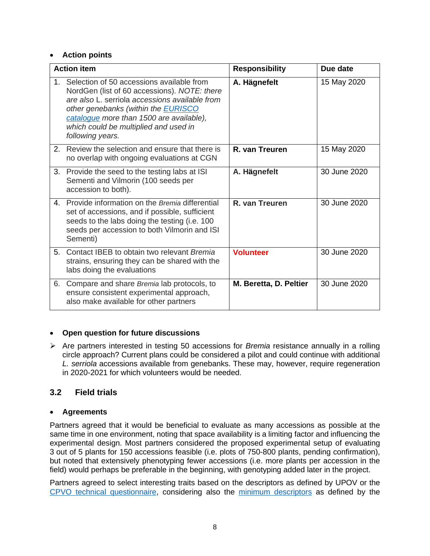#### · **Action points**

|                | <b>Action item</b>                                                                                                                                                                                                                                                                                 | <b>Responsibility</b>  | Due date     |
|----------------|----------------------------------------------------------------------------------------------------------------------------------------------------------------------------------------------------------------------------------------------------------------------------------------------------|------------------------|--------------|
| $1 -$          | Selection of 50 accessions available from<br>NordGen (list of 60 accessions). NOTE: there<br>are also L, serriola accessions available from<br>other genebanks (within the <b>EURISCO</b><br>cataloque more than 1500 are available),<br>which could be multiplied and used in<br>following years. | A. Hägnefelt           | 15 May 2020  |
| 2.             | Review the selection and ensure that there is<br>no overlap with ongoing evaluations at CGN                                                                                                                                                                                                        | R. van Treuren         | 15 May 2020  |
| 3.             | Provide the seed to the testing labs at ISI<br>Sementi and Vilmorin (100 seeds per<br>accession to both).                                                                                                                                                                                          | A. Hägnefelt           | 30 June 2020 |
| 4.             | Provide information on the Bremia differential<br>set of accessions, and if possible, sufficient<br>seeds to the labs doing the testing (i.e. 100<br>seeds per accession to both Vilmorin and ISI<br>Sementi)                                                                                      | R. van Treuren         | 30 June 2020 |
| 5 <sub>1</sub> | Contact IBEB to obtain two relevant Bremia<br>strains, ensuring they can be shared with the<br>labs doing the evaluations                                                                                                                                                                          | <b>Volunteer</b>       | 30 June 2020 |
| 6.             | Compare and share Bremia lab protocols, to<br>ensure consistent experimental approach,<br>also make available for other partners                                                                                                                                                                   | M. Beretta, D. Peltier | 30 June 2020 |

#### · **Open question for future discussions**

 $\triangleright$  Are partners interested in testing 50 accessions for *Bremia* resistance annually in a rolling circle approach? Current plans could be considered a pilot and could continue with additional L. serriola accessions available from genebanks. These may, however, require regeneration in 2020-2021 for which volunteers would be needed.

## **3.2 Field trials**

#### · **Agreements**

Partners agreed that it would be beneficial to evaluate as many accessions as possible at the same time in one environment, noting that space availability is a limiting factor and influencing the experimental design. Most partners considered the proposed experimental setup of evaluating 3 out of 5 plants for 150 accessions feasible (i.e. plots of 750-800 plants, pending confirmation), but noted that extensively phenotyping fewer accessions (i.e. more plants per accession in the field) would perhaps be preferable in the beginning, with genotyping added later in the project.

Partners agreed to select interesting traits based on the descriptors as defined by UPOV or the [CPVO technical questionnaire,](https://cpvo.europa.eu/en/applications-and-examinations/filing-application/filing-paper/technical-questionnaires?t=lettuce&field_crop_sector_tid=89) considering also the [minimum descriptors](https://www.ecpgr.cgiar.org/fileadmin/templates/ecpgr.org/upload/NW_and_WG_UPLOADS/LeafyVeg_misc/LeafyVeg_MinDescr.pdf) as defined by the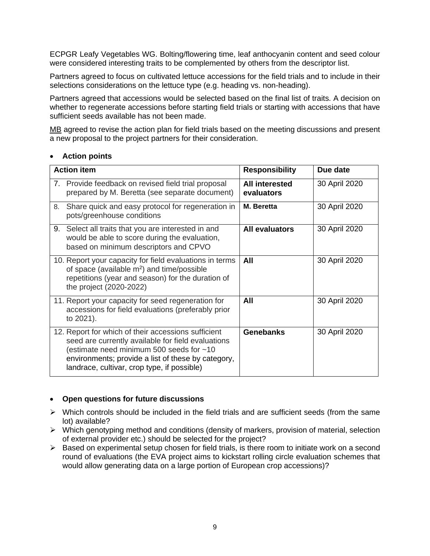ECPGR Leafy Vegetables WG. Bolting/flowering time, leaf anthocyanin content and seed colour were considered interesting traits to be complemented by others from the descriptor list.

Partners agreed to focus on cultivated lettuce accessions for the field trials and to include in their selections considerations on the lettuce type (e.g. heading vs. non-heading).

Partners agreed that accessions would be selected based on the final list of traits. A decision on whether to regenerate accessions before starting field trials or starting with accessions that have sufficient seeds available has not been made.

MB agreed to revise the action plan for field trials based on the meeting discussions and present a new proposal to the project partners for their consideration.

#### **Action points**

| <b>Action item</b>                                                                                                                                                                                                                                         | <b>Responsibility</b>               | Due date      |
|------------------------------------------------------------------------------------------------------------------------------------------------------------------------------------------------------------------------------------------------------------|-------------------------------------|---------------|
| Provide feedback on revised field trial proposal<br>7.<br>prepared by M. Beretta (see separate document)                                                                                                                                                   | <b>All interested</b><br>evaluators | 30 April 2020 |
| Share quick and easy protocol for regeneration in<br>8.<br>pots/greenhouse conditions                                                                                                                                                                      | M. Beretta                          | 30 April 2020 |
| Select all traits that you are interested in and<br>9.<br>would be able to score during the evaluation,<br>based on minimum descriptors and CPVO                                                                                                           | <b>All evaluators</b>               | 30 April 2020 |
| 10. Report your capacity for field evaluations in terms<br>of space (available m <sup>2</sup> ) and time/possible<br>repetitions (year and season) for the duration of<br>the project (2020-2022)                                                          | All                                 | 30 April 2020 |
| 11. Report your capacity for seed regeneration for<br>accessions for field evaluations (preferably prior<br>to 2021).                                                                                                                                      | All                                 | 30 April 2020 |
| 12. Report for which of their accessions sufficient<br>seed are currently available for field evaluations<br>(estimate need minimum 500 seeds for ~10<br>environments; provide a list of these by category,<br>landrace, cultivar, crop type, if possible) | <b>Genebanks</b>                    | 30 April 2020 |

#### · **Open questions for future discussions**

- $\triangleright$  Which controls should be included in the field trials and are sufficient seeds (from the same lot) available?
- $\triangleright$  Which genotyping method and conditions (density of markers, provision of material, selection of external provider etc.) should be selected for the project?
- $\triangleright$  Based on experimental setup chosen for field trials, is there room to initiate work on a second round of evaluations (the EVA project aims to kickstart rolling circle evaluation schemes that would allow generating data on a large portion of European crop accessions)?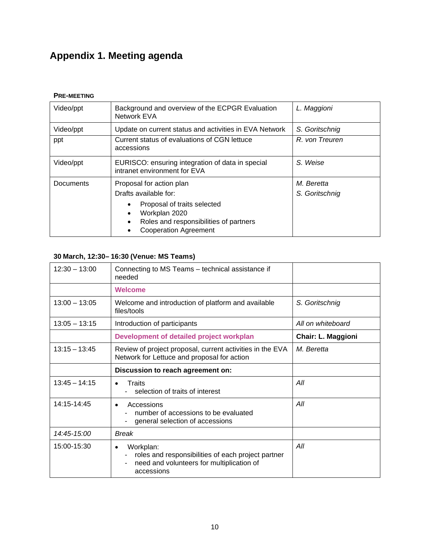## **Appendix 1. Meeting agenda**

#### **PRE-MEETING**

| Video/ppt                                                                                                                                                                                            | Background and overview of the ECPGR Evaluation<br>Network EVA                   | L. Maggioni                  |
|------------------------------------------------------------------------------------------------------------------------------------------------------------------------------------------------------|----------------------------------------------------------------------------------|------------------------------|
| Video/ppt                                                                                                                                                                                            | Update on current status and activities in EVA Network                           | S. Goritschnig               |
| ppt                                                                                                                                                                                                  | Current status of evaluations of CGN lettuce<br>accessions                       | R. von Treuren               |
| Video/ppt                                                                                                                                                                                            | EURISCO: ensuring integration of data in special<br>intranet environment for EVA | S. Weise                     |
| <b>Documents</b><br>Proposal for action plan<br>Drafts available for:<br>Proposal of traits selected<br>Workplan 2020<br>٠<br>Roles and responsibilities of partners<br><b>Cooperation Agreement</b> |                                                                                  | M. Beretta<br>S. Goritschnig |

## **30 March, 12:30– 16:30 (Venue: MS Teams)**

| $12:30 - 13:00$ | Connecting to MS Teams - technical assistance if<br>needed                                                                                   |                           |
|-----------------|----------------------------------------------------------------------------------------------------------------------------------------------|---------------------------|
|                 | <b>Welcome</b>                                                                                                                               |                           |
| $13:00 - 13:05$ | Welcome and introduction of platform and available<br>files/tools                                                                            | S. Goritschnig            |
| $13:05 - 13:15$ | Introduction of participants                                                                                                                 | All on whiteboard         |
|                 | Development of detailed project workplan                                                                                                     | <b>Chair: L. Maggioni</b> |
| $13:15 - 13:45$ | Review of project proposal, current activities in the EVA<br>Network for Lettuce and proposal for action                                     | M. Beretta                |
|                 | Discussion to reach agreement on:                                                                                                            |                           |
| $13:45 - 14:15$ | Traits<br>selection of traits of interest                                                                                                    | All                       |
| 14:15-14:45     | Accessions<br>$\bullet$<br>number of accessions to be evaluated<br>general selection of accessions                                           | All                       |
| 14:45-15:00     | <b>Break</b>                                                                                                                                 |                           |
| 15:00-15:30     | Workplan:<br>$\bullet$<br>roles and responsibilities of each project partner<br>need and volunteers for multiplication of<br>-<br>accessions | All                       |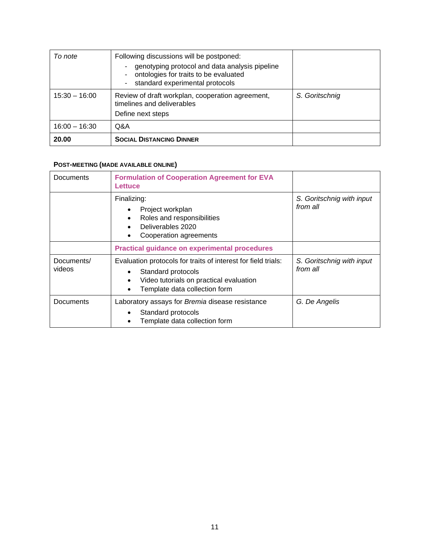| To note         | Following discussions will be postponed:<br>genotyping protocol and data analysis pipeline<br>۰<br>ontologies for traits to be evaluated<br>۰.<br>standard experimental protocols<br>۰. |                |
|-----------------|-----------------------------------------------------------------------------------------------------------------------------------------------------------------------------------------|----------------|
| $15:30 - 16:00$ | Review of draft workplan, cooperation agreement,<br>timelines and deliverables<br>Define next steps                                                                                     | S. Goritschnig |
| $16:00 - 16:30$ | Q&A                                                                                                                                                                                     |                |
| 20.00           | <b>SOCIAL DISTANCING DINNER</b>                                                                                                                                                         |                |

### **POST-MEETING (MADE AVAILABLE ONLINE)**

| Documents            | <b>Formulation of Cooperation Agreement for EVA</b><br>Lettuce                                                                                                                            |                                       |
|----------------------|-------------------------------------------------------------------------------------------------------------------------------------------------------------------------------------------|---------------------------------------|
|                      | Finalizing:<br>Project workplan<br>Roles and responsibilities<br>Deliverables 2020<br>Cooperation agreements                                                                              | S. Goritschnig with input<br>from all |
|                      | <b>Practical guidance on experimental procedures</b>                                                                                                                                      |                                       |
| Documents/<br>videos | Evaluation protocols for traits of interest for field trials:<br>Standard protocols<br>$\bullet$<br>Video tutorials on practical evaluation<br>$\bullet$<br>Template data collection form | S. Goritschnig with input<br>from all |
| Documents            | Laboratory assays for Bremia disease resistance<br>Standard protocols<br>$\bullet$<br>Template data collection form                                                                       | G. De Angelis                         |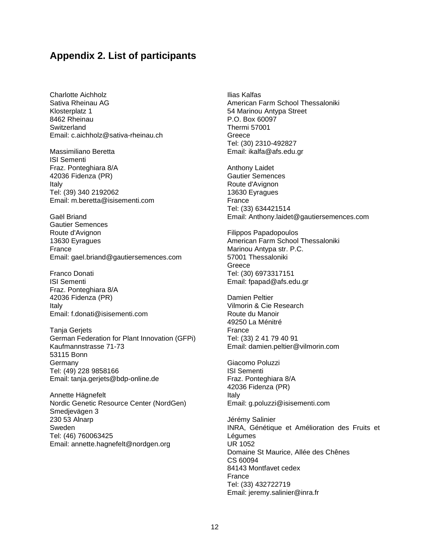## **Appendix 2. List of participants**

Charlotte Aichholz Sativa Rheinau AG Klosterplatz 1 8462 Rheinau Switzerland Email: c.aichholz@sativa-rheinau.ch

Massimiliano Beretta ISI Sementi Fraz. Ponteghiara 8/A 42036 Fidenza (PR) Italy Tel: (39) 340 2192062 Email: m.beretta@isisementi.com

Gaël Briand Gautier Semences Route d'Avignon 13630 Eyragues France Email: gael.briand@gautiersemences.com

Franco Donati ISI Sementi Fraz. Ponteghiara 8/A 42036 Fidenza (PR) Italy Email: f.donati@isisementi.com

Tanja Gerjets German Federation for Plant Innovation (GFPi) Kaufmannstrasse 71-73 53115 Bonn **Germany** Tel: (49) 228 9858166 Email: tanja.gerjets@bdp-online.de

Annette Hägnefelt Nordic Genetic Resource Center (NordGen) Smedjevägen 3 230 53 Alnarp Sweden Tel: (46) 760063425 Email: annette.hagnefelt@nordgen.org

Ilias Kalfas American Farm School Thessaloniki 54 Marinou Antypa Street P.O. Box 60097 Thermi 57001 **Greece** Tel: (30) 2310-492827 Email: ikalfa@afs.edu.gr

Anthony Laidet Gautier Semences Route d'Avignon 13630 Eyragues France Tel: (33) 634421514 Email: Anthony.laidet@gautiersemences.com

Filippos Papadopoulos American Farm School Thessaloniki Marinou Antypa str. P.C. 57001 Thessaloniki Greece Tel: (30) 6973317151 Email: fpapad@afs.edu.gr

Damien Peltier Vilmorin & Cie Research Route du Manoir 49250 La Ménitré France Tel: (33) 2 41 79 40 91 Email: damien.peltier@vilmorin.com

Giacomo Poluzzi ISI Sementi Fraz. Ponteghiara 8/A 42036 Fidenza (PR) Italy Email: g.poluzzi@isisementi.com

Jérémy Salinier INRA, Génétique et Amélioration des Fruits et Légumes UR 1052 Domaine St Maurice, Allée des Chênes CS 60094 84143 Montfavet cedex France Tel: (33) 432722719 Email: jeremy.salinier@inra.fr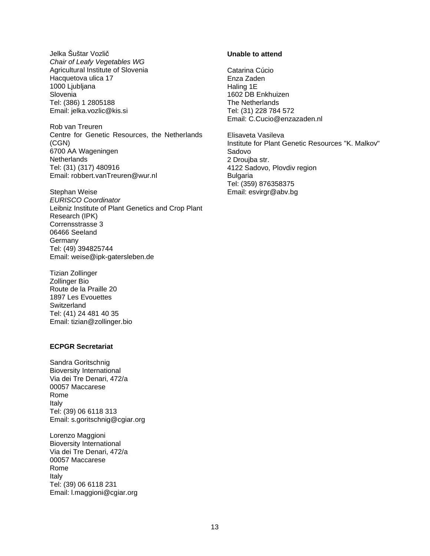Jelka Šuštar Vozlič Chair of Leafy Vegetables WG Agricultural Institute of Slovenia Hacquetova ulica 17 1000 Ljubljana **Slovenia** Tel: (386) 1 2805188 Email: jelka.vozlic@kis.si

Rob van Treuren Centre for Genetic Resources, the Netherlands (CGN) 6700 AA Wageningen **Netherlands** Tel: (31) (317) 480916 Email: robbert.vanTreuren@wur.nl

Stephan Weise EURISCO Coordinator Leibniz Institute of Plant Genetics and Crop Plant Research (IPK) Corrensstrasse 3 06466 Seeland **Germany** Tel: (49) 394825744 Email: weise@ipk-gatersleben.de

Tizian Zollinger Zollinger Bio Route de la Praille 20 1897 Les Evouettes **Switzerland** Tel: (41) 24 481 40 35 Email: tizian@zollinger.bio

#### **ECPGR Secretariat**

Sandra Goritschnig Bioversity International Via dei Tre Denari, 472/a 00057 Maccarese Rome Italy Tel: (39) 06 6118 313 Email: s.goritschnig@cgiar.org

Lorenzo Maggioni Bioversity International Via dei Tre Denari, 472/a 00057 Maccarese Rome Italy Tel: (39) 06 6118 231 Email: l.maggioni@cgiar.org

#### **Unable to attend**

Catarina Cúcio Enza Zaden Haling 1E 1602 DB Enkhuizen The Netherlands Tel: (31) 228 784 572 Email: C.Cucio@enzazaden.nl

Elisaveta Vasileva Institute for Plant Genetic Resources "K. Malkov" Sadovo 2 Droujba str. 4122 Sadovo, Plovdiv region Bulgaria Tel: (359) 876358375 Email: esvirgr@abv.bg